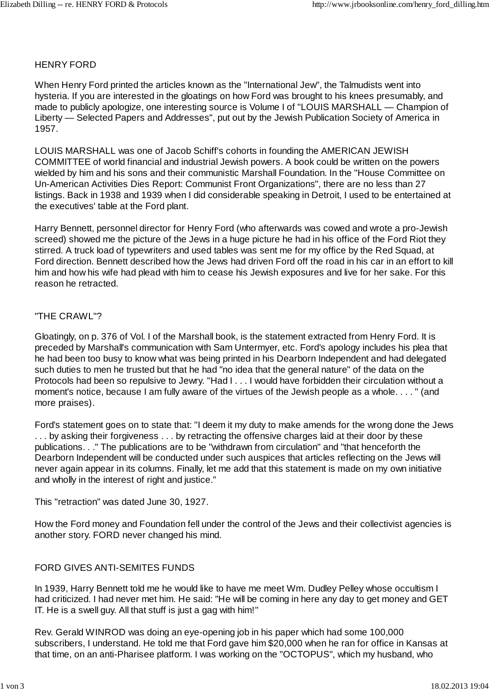### HENRY FORD

When Henry Ford printed the articles known as the "International Jew", the Talmudists went into hysteria. If you are interested in the gloatings on how Ford was brought to his knees presumably, and made to publicly apologize, one interesting source is Volume I of "LOUIS MARSHALL — Champion of Liberty — Selected Papers and Addresses", put out by the Jewish Publication Society of America in 1957.

LOUIS MARSHALL was one of Jacob Schiff's cohorts in founding the AMERICAN JEWISH COMMITTEE of world financial and industrial Jewish powers. A book could be written on the powers wielded by him and his sons and their communistic Marshall Foundation. In the "House Committee on Un-American Activities Dies Report: Communist Front Organizations", there are no less than 27 listings. Back in 1938 and 1939 when I did considerable speaking in Detroit, I used to be entertained at the executives' table at the Ford plant.

Harry Bennett, personnel director for Henry Ford (who afterwards was cowed and wrote a pro-Jewish screed) showed me the picture of the Jews in a huge picture he had in his office of the Ford Riot they stirred. A truck load of typewriters and used tables was sent me for my office by the Red Squad, at Ford direction. Bennett described how the Jews had driven Ford off the road in his car in an effort to kill him and how his wife had plead with him to cease his Jewish exposures and live for her sake. For this reason he retracted.

### "THE CRAWL"?

Gloatingly, on p. 376 of Vol. I of the Marshall book, is the statement extracted from Henry Ford. It is preceded by Marshall's communication with Sam Untermyer, etc. Ford's apology includes his plea that he had been too busy to know what was being printed in his Dearborn Independent and had delegated such duties to men he trusted but that he had "no idea that the general nature" of the data on the Protocols had been so repulsive to Jewry. "Had I . . . I would have forbidden their circulation without a moment's notice, because I am fully aware of the virtues of the Jewish people as a whole. . . . " (and more praises).

Ford's statement goes on to state that: "I deem it my duty to make amends for the wrong done the Jews ... by asking their forgiveness ... by retracting the offensive charges laid at their door by these publications. . ." The publications are to be "withdrawn from circulation" and "that henceforth the Dearborn Independent will be conducted under such auspices that articles reflecting on the Jews will never again appear in its columns. Finally, let me add that this statement is made on my own initiative and wholly in the interest of right and justice."

This "retraction" was dated June 30, 1927.

How the Ford money and Foundation fell under the control of the Jews and their collectivist agencies is another story. FORD never changed his mind.

# FORD GIVES ANTI-SEMITES FUNDS

In 1939, Harry Bennett told me he would like to have me meet Wm. Dudley Pelley whose occultism I had criticized. I had never met him. He said: "He will be coming in here any day to get money and GET IT. He is a swell guy. All that stuff is just a gag with him!"

Rev. Gerald WINROD was doing an eye-opening job in his paper which had some 100,000 subscribers, I understand. He told me that Ford gave him \$20,000 when he ran for office in Kansas at that time, on an anti-Pharisee platform. I was working on the "OCTOPUS", which my husband, who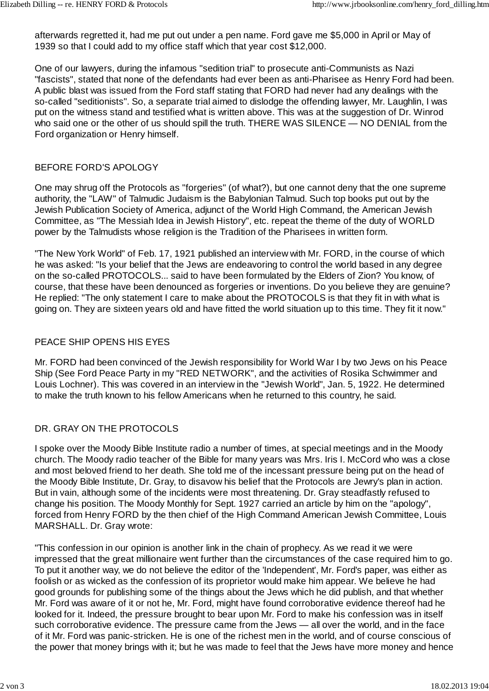afterwards regretted it, had me put out under a pen name. Ford gave me \$5,000 in April or May of 1939 so that I could add to my office staff which that year cost \$12,000.

One of our lawyers, during the infamous "sedition trial" to prosecute anti-Communists as Nazi "fascists", stated that none of the defendants had ever been as anti-Pharisee as Henry Ford had been. A public blast was issued from the Ford staff stating that FORD had never had any dealings with the so-called "seditionists". So, a separate trial aimed to dislodge the offending lawyer, Mr. Laughlin, I was put on the witness stand and testified what is written above. This was at the suggestion of Dr. Winrod who said one or the other of us should spill the truth. THERE WAS SILENCE — NO DENIAL from the Ford organization or Henry himself.

### BEFORE FORD'S APOLOGY

One may shrug off the Protocols as "forgeries" (of what?), but one cannot deny that the one supreme authority, the "LAW" of Talmudic Judaism is the Babylonian Talmud. Such top books put out by the Jewish Publication Society of America, adjunct of the World High Command, the American Jewish Committee, as "The Messiah Idea in Jewish History", etc. repeat the theme of the duty of WORLD power by the Talmudists whose religion is the Tradition of the Pharisees in written form.

"The New York World" of Feb. 17, 1921 published an interview with Mr. FORD, in the course of which he was asked: "Is your belief that the Jews are endeavoring to control the world based in any degree on the so-called PROTOCOLS... said to have been formulated by the Elders of Zion? You know, of course, that these have been denounced as forgeries or inventions. Do you believe they are genuine? He replied: "The only statement I care to make about the PROTOCOLS is that they fit in with what is going on. They are sixteen years old and have fitted the world situation up to this time. They fit it now."

## PEACE SHIP OPENS HIS EYES

Mr. FORD had been convinced of the Jewish responsibility for World War I by two Jews on his Peace Ship (See Ford Peace Party in my "RED NETWORK", and the activities of Rosika Schwimmer and Louis Lochner). This was covered in an interview in the "Jewish World", Jan. 5, 1922. He determined to make the truth known to his fellow Americans when he returned to this country, he said.

# DR. GRAY ON THE PROTOCOLS

I spoke over the Moody Bible Institute radio a number of times, at special meetings and in the Moody church. The Moody radio teacher of the Bible for many years was Mrs. Iris I. McCord who was a close and most beloved friend to her death. She told me of the incessant pressure being put on the head of the Moody Bible Institute, Dr. Gray, to disavow his belief that the Protocols are Jewry's plan in action. But in vain, although some of the incidents were most threatening. Dr. Gray steadfastly refused to change his position. The Moody Monthly for Sept. 1927 carried an article by him on the "apology", forced from Henry FORD by the then chief of the High Command American Jewish Committee, Louis MARSHALL. Dr. Gray wrote:

"This confession in our opinion is another link in the chain of prophecy. As we read it we were impressed that the great millionaire went further than the circumstances of the case required him to go. To put it another way, we do not believe the editor of the 'Independent', Mr. Ford's paper, was either as foolish or as wicked as the confession of its proprietor would make him appear. We believe he had good grounds for publishing some of the things about the Jews which he did publish, and that whether Mr. Ford was aware of it or not he, Mr. Ford, might have found corroborative evidence thereof had he looked for it. Indeed, the pressure brought to bear upon Mr. Ford to make his confession was in itself such corroborative evidence. The pressure came from the Jews — all over the world, and in the face of it Mr. Ford was panic-stricken. He is one of the richest men in the world, and of course conscious of the power that money brings with it; but he was made to feel that the Jews have more money and hence